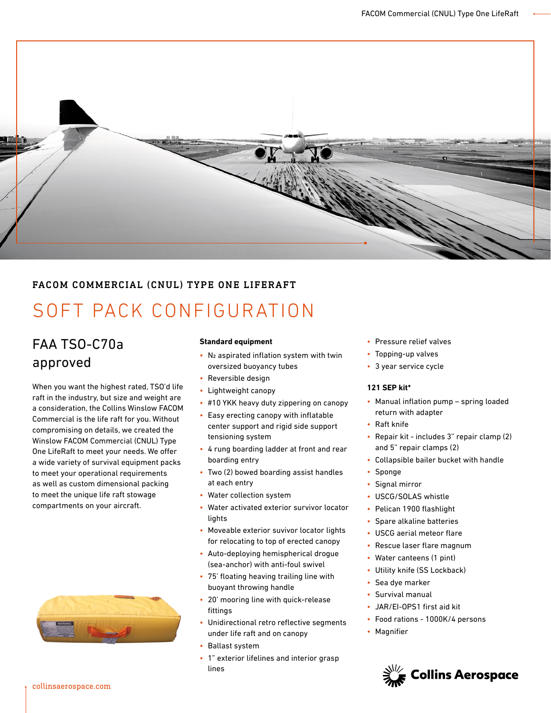

### FACOM COMMERCIAL (CNUL) TYPE ONE LIFERAFT

# SOFT PACK CONFIGURATION

## FAA TSO-C70a approved

When you want the highest rated, TSO'd life raft in the industry, but size and weight are a consideration, the Collins Winslow FACOM Commercial is the life raft for you. Without compromising on details, we created the Winslow FACOM Commercial (CNUL) Type One LifeRaft to meet your needs. We offer a wide variety of survival equipment packs to meet your operational requirements as well as custom dimensional packing to meet the unique life raft stowage compartments on your aircraft.



#### **Standard equipment**

- N2 aspirated inflation system with twin oversized buoyancy tubes
- Reversible design
- Lightweight canopy
- #10 YKK heavy duty zippering on canopy
- Easy erecting canopy with inflatable center support and rigid side support tensioning system
- 4 rung boarding ladder at front and rear boarding entry
- Two (2) bowed boarding assist handles at each entry
- Water collection system
- Water activated exterior survivor locator lights
- Moveable exterior suvivor locator lights for relocating to top of erected canopy
- Auto-deploying hemispherical drogue (sea-anchor) with anti-foul swivel
- 75' floating heaving trailing line with buoyant throwing handle
- 20' mooring line with quick-release fittings
- Unidirectional retro reflective segments under life raft and on canopy
- Ballast system
- 1" exterior lifelines and interior grasp lines
- Pressure relief valves
- Topping-up valves
- 3 year service cycle

#### **121 SEP kit\***

- Manual inflation pump spring loaded return with adapter
- Raft knife
- Repair kit includes 3" repair clamp (2) and 5" repair clamps (2)
- Collapsible bailer bucket with handle
- Sponge
- Signal mirror
- USCG/SOLAS whistle
- Pelican 1900 flashlight
- Spare alkaline batteries
- USCG aerial meteor flare
- Rescue laser flare magnum
- Water canteens (1 pint)
- Utility knife (SS Lockback)
- Sea dye marker
- Survival manual
- JAR/EI-OPS1 first aid kit
- Food rations 1000K/4 persons
- Magnifier